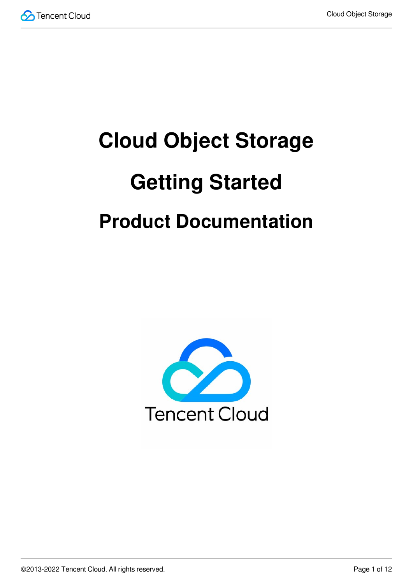

# **Cloud Object Storage Getting Started Product Documentation**

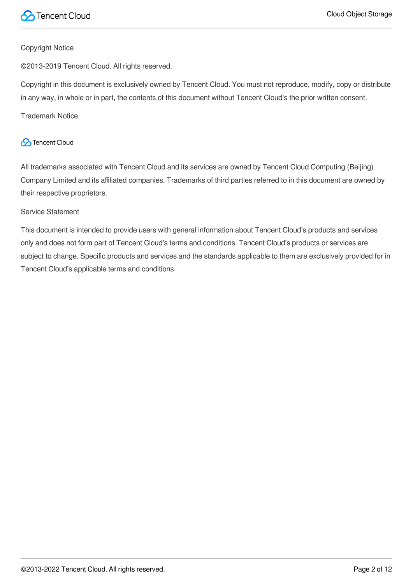

#### Copyright Notice

©2013-2019 Tencent Cloud. All rights reserved.

Copyright in this document is exclusively owned by Tencent Cloud. You must not reproduce, modify, copy or distribute in any way, in whole or in part, the contents of this document without Tencent Cloud's the prior written consent.

Trademark Notice

#### **C** Tencent Cloud

All trademarks associated with Tencent Cloud and its services are owned by Tencent Cloud Computing (Beijing) Company Limited and its affiliated companies. Trademarks of third parties referred to in this document are owned by their respective proprietors.

#### Service Statement

This document is intended to provide users with general information about Tencent Cloud's products and services only and does not form part of Tencent Cloud's terms and conditions. Tencent Cloud's products or services are subject to change. Specific products and services and the standards applicable to them are exclusively provided for in Tencent Cloud's applicable terms and conditions.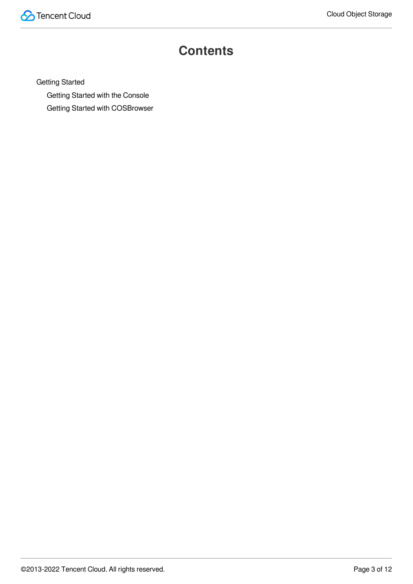

### **Contents**

Getting [Started](#page-3-0)

Getting Started with the [Console](#page-3-1)

Getting Started with [COSBrowser](#page-6-0)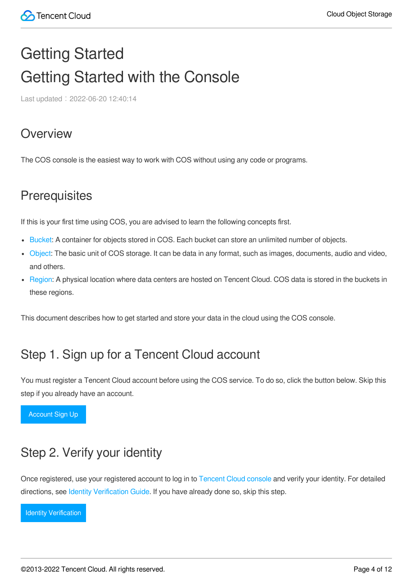## <span id="page-3-1"></span><span id="page-3-0"></span>Getting Started Getting Started with the Console

Last updated: 2022-06-20 12:40:14

#### **Overview**

The COS console is the easiest way to work with COS without using any code or programs.

#### **Prerequisites**

If this is your first time using COS, you are advised to learn the following concepts first.

- [Bucket](https://intl.cloud.tencent.com/document/product/436/13312): A container for objects stored in COS. Each bucket can store an unlimited number of objects.
- [Object:](https://intl.cloud.tencent.com/document/product/436/13324) The basic unit of COS storage. It can be data in any format, such as images, documents, audio and video, and others.
- [Region](https://intl.cloud.tencent.com/document/product/436/6224): A physical location where data centers are hosted on Tencent Cloud. COS data is stored in the buckets in these regions.

This document describes how to get started and store your data in the cloud using the COS console.

#### Step 1. Sign up for a Tencent Cloud account

You must register a Tencent Cloud account before using the COS service. To do so, click the button below. Skip this step if you already have an account.

[Account Sign Up](https://intl.cloud.tencent.com/en/account/register)

### Step 2. Verify your identity

Once registered, use your registered account to log in to [Tencent](https://console.intl.cloud.tencent.com/) Cloud console and verify your identity. For detailed directions, see Identity [Verification](https://intl.cloud.tencent.com/document/product/378/3629) Guide. If you have already done so, skip this step.

[Identity Verification](https://console.intl.cloud.tencent.com/developer)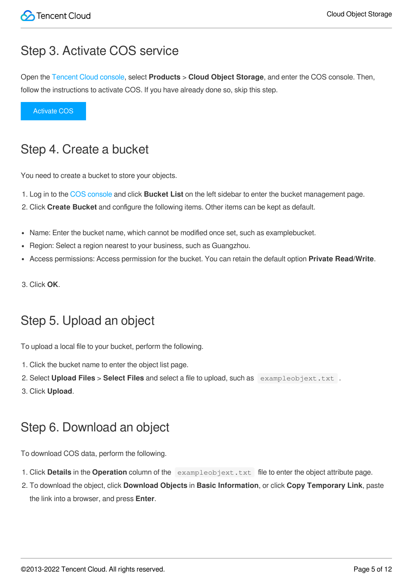#### Step 3. Activate COS service

Open the [Tencent](https://console.intl.cloud.tencent.com/) Cloud console, select **Products** > **Cloud Object Storage**, and enter the COS console. Then, follow the instructions to activate COS. If you have already done so, skip this step.

[Activate COS](https://console.intl.cloud.tencent.com/cos5)

#### Step 4. Create a bucket

You need to create a bucket to store your objects.

- 1. Log in to the COS [console](https://console.intl.cloud.tencent.com/cos5) and click **Bucket List** on the left sidebar to enter the bucket management page.
- 2. Click **Create Bucket** and configure the following items. Other items can be kept as default.
- Name: Enter the bucket name, which cannot be modified once set, such as examplebucket.
- Region: Select a region nearest to your business, such as Guangzhou.  $\bullet$
- Access permissions: Access permission for the bucket. You can retain the default option **Private Read/Write**.
- 3. Click **OK**.

### Step 5. Upload an object

To upload a local file to your bucket, perform the following.

- 1. Click the bucket name to enter the object list page.
- 2. Select **Upload Files** > **Select Files** and select a file to upload, such as exampleobjext.txt .
- 3. Click **Upload**.

### Step 6. Download an object

To download COS data, perform the following.

- 1. Click **Details** in the **Operation** column of the exampleobjext.txt file to enter the object attribute page.
- 2. To download the object, click **Download Objects** in **Basic Information**, or click **Copy Temporary Link**, paste the link into a browser, and press **Enter**.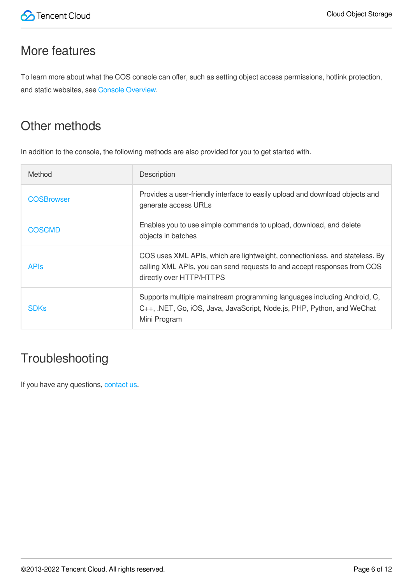#### More features

To learn more about what the COS console can offer, such as setting object access permissions, hotlink protection, and static websites, see Console [Overview.](https://intl.cloud.tencent.com/document/product/436/11365)

### Other methods

In addition to the console, the following methods are also provided for you to get started with.

| Method            | Description                                                                                                                                                                         |
|-------------------|-------------------------------------------------------------------------------------------------------------------------------------------------------------------------------------|
| <b>COSBrowser</b> | Provides a user-friendly interface to easily upload and download objects and<br>generate access URLs                                                                                |
| <b>COSCMD</b>     | Enables you to use simple commands to upload, download, and delete<br>objects in batches                                                                                            |
| <b>APIS</b>       | COS uses XML APIs, which are lightweight, connectionless, and stateless. By<br>calling XML APIs, you can send requests to and accept responses from COS<br>directly over HTTP/HTTPS |
| <b>SDKs</b>       | Supports multiple mainstream programming languages including Android, C,<br>C++, .NET, Go, iOS, Java, JavaScript, Node.js, PHP, Python, and WeChat<br>Mini Program                  |

### **Troubleshooting**

If you have any questions, [contact](https://intl.cloud.tencent.com/contact-sales) us.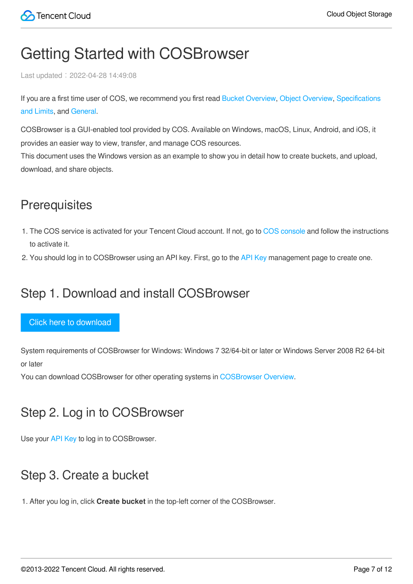### <span id="page-6-0"></span>Getting Started with COSBrowser

Last updated: 2022-04-28 14:49:08

If you are a first time user of COS, we [recommend you](https://intl.cloud.tencent.com/document/product/436/14518) first read Bucket [Overview,](https://intl.cloud.tencent.com/document/product/436/13312) Object [Overview](https://intl.cloud.tencent.com/document/product/436/13324), Specifications and Limits, and [General.](https://intl.cloud.tencent.com/document/product/436/6282)

COSBrowser is a GUI-enabled tool provided by COS. Available on Windows, macOS, Linux, Android, and iOS, it provides an easier way to view, transfer, and manage COS resources.

This document uses the Windows version as an example to show you in detail how to create buckets, and upload, download, and share objects.

### **Prerequisites**

- 1. The COS service is activated for your Tencent Cloud account. If not, go to COS [console](https://console.intl.cloud.tencent.com/cos5) and follow the instructions to activate it.
- 2. You should log in to COSBrowser using an API key. First, go to the API [Key](https://console.intl.cloud.tencent.com/cam/capi) management page to create one.

#### Step 1. Download and install COSBrowser

#### Click here to download

System requirements of COSBrowser for Windows: Windows 7 32/64-bit or later or Windows Server 2008 R2 64-bit or later

You can download COSBrowser for other operating systems in [COSBrowser](https://intl.cloud.tencent.com/document/product/436/11366) Overview.

#### Step 2. Log in to COSBrowser

Use your API [Key](https://console.intl.cloud.tencent.com/cam/capi) to log in to COSBrowser.

#### Step 3. Create a bucket

1. After you log in, click **Create bucket** in the top-left corner of the COSBrowser.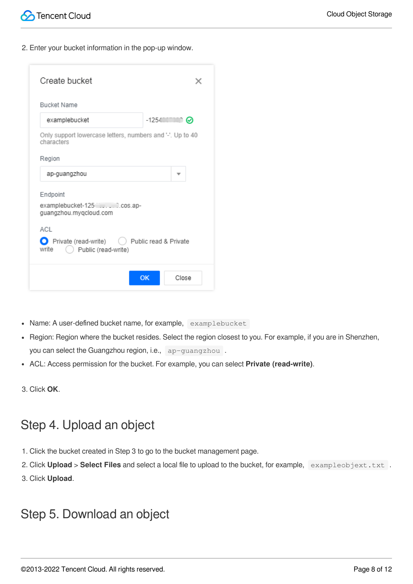2. Enter your bucket information in the pop-up window.

| <b>Bucket Name</b>                                                            |                           |  |
|-------------------------------------------------------------------------------|---------------------------|--|
| examplebucket                                                                 | $-1254$ $\circ$ $\bullet$ |  |
| Only support lowercase letters, numbers and '-'. Up to 40<br>characters       |                           |  |
| Region                                                                        |                           |  |
| ap-guangzhou                                                                  |                           |  |
| Endpoint                                                                      |                           |  |
| examplebucket-125 [1.0.0.005.ap-<br>guangzhou.myqcloud.com                    |                           |  |
| ACI                                                                           |                           |  |
| Private (read-write)  ( Public read & Private<br>write<br>Public (read-write) |                           |  |

- Name: A user-defined bucket name, for example, examplebucket
- Region: Region where the bucket resides. Select the region closest to you. For example, if you are in Shenzhen, you can select the Guangzhou region, i.e., ap-guangzhou.
- ACL: Access permission for the bucket. For example, you can select **Private (read-write)**.
- 3. Click **OK**.

#### Step 4. Upload an object

- 1. Click the bucket created in Step 3 to go to the bucket management page.
- 2. Click **Upload** > **Select Files** and select a local file to upload to the bucket, for example, exampleobjext.txt .
- 3. Click **Upload**.

#### Step 5. Download an object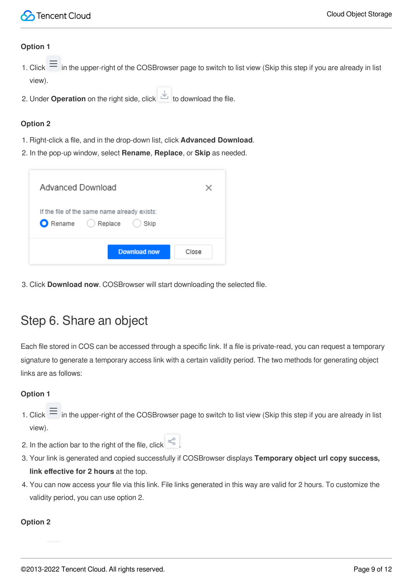#### **Option 1**

- 1. Click  $\equiv$  in the upper-right of the COSBrowser page to switch to list view (Skip this step if you are already in list view).
- 2. Under **Operation** on the right side, click **the download the file.**

#### **Option 2**

- 1. Right-click a file, and in the drop-down list, click **Advanced Download**.
- 2. In the pop-up window, select **Rename**, **Replace**, or **Skip** as needed.

| Advanced Download                                                      |       |
|------------------------------------------------------------------------|-------|
| If the file of the same name already exists:<br>Rename Replace<br>Skip |       |
| Download now                                                           | Close |

3. Click **Download now**. COSBrowser will start downloading the selected file.

### Step 6. Share an object

Each file stored in COS can be accessed through a specific link. If a file is private-read, you can request a temporary signature to generate a temporary access link with a certain validity period. The two methods for generating object links are as follows:

#### **Option 1**

- 1. Click  $\equiv$  in the upper-right of the COSBrowser page to switch to list view (Skip this step if you are already in list view).
- 2. In the action bar to the right of the file, click  $\frac{\alpha_0^0}{\alpha_0^0}$
- 3. Your link is generated and copied successfully if COSBrowser displays **Temporary object url copy success, link effective for 2 hours** at the top.
- 4. You can now access your file via this link. File links generated in this way are valid for 2 hours. To customize the validity period, you can use option 2.

#### **Option 2**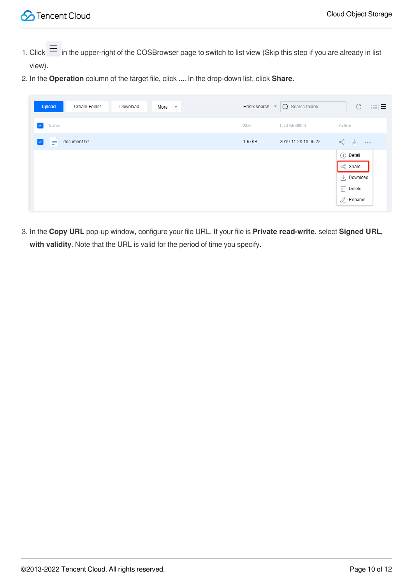- 1. Click  $\equiv$  in the upper-right of the COSBrowser page to switch to list view (Skip this step if you are already in list view).
- 2. In the **Operation** column of the target file, click **...**. In the drop-down list, click **Share**.

| <b>Upload</b><br>Create Folder<br>Download | More<br>$\overline{\phantom{a}}$ | Prefix search | Q Search folder/<br>$\overline{\mathbf{v}}$ | C<br>$m \equiv$                                                                                                                                                                                                                                                                                                                                                             |
|--------------------------------------------|----------------------------------|---------------|---------------------------------------------|-----------------------------------------------------------------------------------------------------------------------------------------------------------------------------------------------------------------------------------------------------------------------------------------------------------------------------------------------------------------------------|
| $\checkmark$<br>Name                       |                                  | Size          | Last Modified                               | Action                                                                                                                                                                                                                                                                                                                                                                      |
| document.txt<br>$\checkmark$<br>≡          |                                  | 1.67KB        | 2019-11-28 18:06:22                         | $\begin{picture}(20,20) \put(0,0){\vector(0,1){30}} \put(15,0){\vector(0,1){30}} \put(15,0){\vector(0,1){30}} \put(15,0){\vector(0,1){30}} \put(15,0){\vector(0,1){30}} \put(15,0){\vector(0,1){30}} \put(15,0){\vector(0,1){30}} \put(15,0){\vector(0,1){30}} \put(15,0){\vector(0,1){30}} \put(15,0){\vector(0,1){30}} \put(15,0){\vector(0,1){30}} \put(15,0){\vector(0$ |
|                                            |                                  |               |                                             | (i) Detail<br>$\propto$ <sup>0</sup> Share<br>$\perp$ Download<br>$\overline{  }$ Delete<br>$2$ Rename                                                                                                                                                                                                                                                                      |

3. In the **Copy URL** pop-up window, configure your file URL. If your file is **Private read-write**, select **Signed URL, with validity**. Note that the URL is valid for the period of time you specify.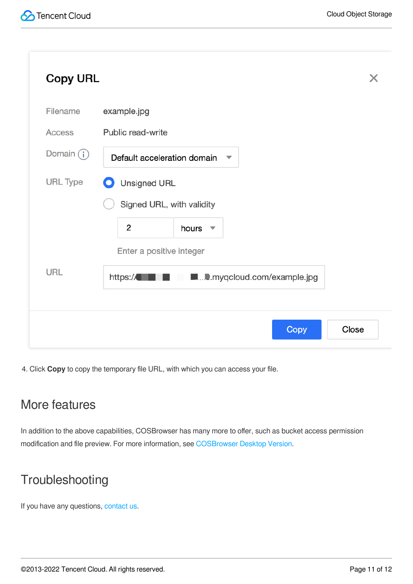| <b>Copy URL</b> | X                                                      |
|-----------------|--------------------------------------------------------|
| Filename        | example.jpg                                            |
| Access          | Public read-write                                      |
| Domain $(i)$    | Default acceleration domain<br>▼                       |
| URL Type        | <b>Unsigned URL</b><br>O                               |
|                 | Signed URL, with validity                              |
|                 | $\overline{2}$<br>hours<br>$\overline{\phantom{a}}$    |
|                 | Enter a positive integer                               |
| URL             | <b>M.</b> D. myqcloud.com/example.jpg<br>https://<br>٠ |
|                 |                                                        |
|                 | Copy<br>Close                                          |

4. Click **Copy** to copy the temporary file URL, with which you can access your file.

#### More features

In addition to the above capabilities, COSBrowser has many more to offer, such as bucket access permission modification and file preview. For more information, see [COSBrowser](https://intl.cloud.tencent.com/document/product/436/11366#.E6.A1.8C.E9.9D.A2.E7.AB.AF.E5.8A.9F.E8.83.BD.E5.88.97.E8.A1.A8) Desktop Version.

### **Troubleshooting**

If you have any questions, [contact](https://intl.cloud.tencent.com/contact-sales) us.